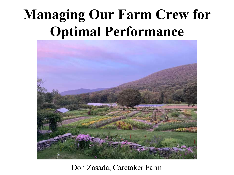# **Managing Our Farm Crew for Optimal Performance**



#### Don Zasada, Caretaker Farm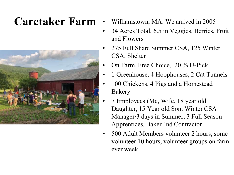

- Caretaker Farm Williamstown, MA: We arrived in 2005
	- 34 Acres Total, 6.5 in Veggies, Berries, Fruit and Flowers
	- 275 Full Share Summer CSA, 125 Winter CSA, Shelter
	- On Farm, Free Choice, 20 % U-Pick
	- 1 Greenhouse, 4 Hoophouses, 2 Cat Tunnels
	- 100 Chickens, 4 Pigs and a Homestead Bakery
	- 7 Employees (Me, Wife, 18 year old Daughter, 15 Year old Son, Winter CSA Manager/3 days in Summer, 3 Full Season Apprentices, Baker-Ind Contractor
	- 500 Adult Members volunteer 2 hours, some volunteer 10 hours, volunteer groups on farm ever week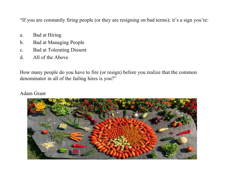"If you are constantly firing people (or they are resigning on bad terms); it's a sign you're:

- a. Bad at Hiring
- b. Bad at Managing People
- c. Bad at Tolerating Dissent
- d. All of the Above

How many people do you have to fire (or resign) before you realize that the common denominator in all of the failing hires is you?"

Adam Grant

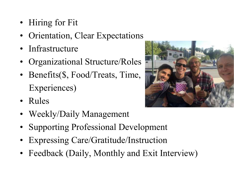- Hiring for Fit
- Orientation, Clear Expectations
- Infrastructure
- Organizational Structure/Roles
- Benefits(\$, Food/Treats, Time, Experiences)
- Rules
- Weekly/Daily Management
- Supporting Professional Development
- Expressing Care/Gratitude/Instruction
- Feedback (Daily, Monthly and Exit Interview)

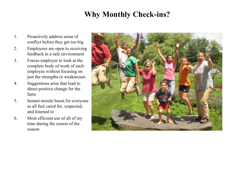#### **Why Monthly Check-ins?**

- 1. Proactively address areas of conflict before they get too big
- 2. Employees are open to receiving feedback in a safe environment
- 3. Forces employer to look at the complete body of work of each employee without focusing on just the strengths or weaknesses
- 4. Suggestions arise that lead to direct positive change for the farm
- 5. Instant morale boost for everyone as all feel cared for, respected, and listened to
- 6. Most efficient use of all of my time during the course of the season

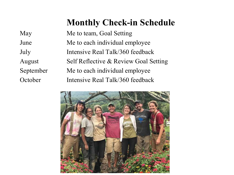### **Monthly Check-in Schedule**

| May       | Me to team, Goal Setting              |
|-----------|---------------------------------------|
| June      | Me to each individual employee        |
| July      | Intensive Real Talk/360 feedback      |
| August    | Self Reflective & Review Goal Setting |
| September | Me to each individual employee        |
| October   | Intensive Real Talk/360 feedback      |

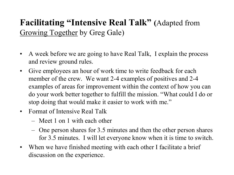#### **Facilitating "Intensive Real Talk" (**Adapted from Growing Together by Greg Gale)

- A week before we are going to have Real Talk, I explain the process and review ground rules.
- Give employees an hour of work time to write feedback for each member of the crew. We want 2-4 examples of positives and 2-4 examples of areas for improvement within the context of how you can do your work better together to fulfill the mission. "What could I do or stop doing that would make it easier to work with me."
- Format of Intensive Real Talk
	- Meet 1 on 1 with each other
	- One person shares for 3.5 minutes and then the other person shares for 3.5 minutes. I will let everyone know when it is time to switch.
- When we have finished meeting with each other I facilitate a brief discussion on the experience.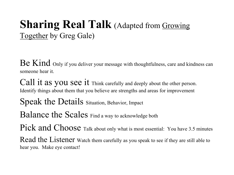# **Sharing Real Talk** (Adapted from Growing Together by Greg Gale)

Be Kind Only if you deliver your message with thoughtfulness, care and kindness can someone hear it.

Call it as you see it Think carefully and deeply about the other person. Identify things about them that you believe are strengths and areas for improvement

Speak the Details Situation, Behavior, Impact

Balance the Scales Find a way to acknowledge both

Pick and Choose Talk about only what is most essential: You have 3.5 minutes

Read the Listener Watch them carefully as you speak to see if they are still able to hear you. Make eye contact!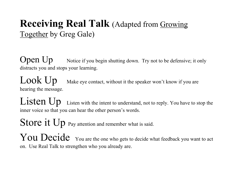## **Receiving Real Talk** (Adapted from Growing Together by Greg Gale)

**Open Up** Notice if you begin shutting down. Try not to be defensive; it only distracts you and stops your learning.

 $Look Up$  Make eye contact, without it the speaker won't know if you are hearing the message.

**Listen Up** Listen with the intent to understand, not to reply. You have to stop the inner voice so that you can hear the other person's words.

Store it Up Pay attention and remember what is said.

You Decide You are the one who gets to decide what feedback you want to act on. Use Real Talk to strengthen who you already are.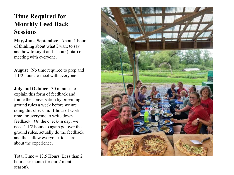#### **Time Required for Monthly Feed Back Sessions**

**May, June, September** About 1 hour of thinking about what I want to say and how to say it and 1 hour (total) of meeting with everyone.

**August** No time required to prep and 1 1/2 hours to meet with everyone

**July and October** 30 minutes to explain this form of feedback and frame the conversation by providing ground rules a week before we are doing this check-in. 1 hour of work time for everyone to write down feedback. On the check-in day, we need 1 1/2 hours to again go over the ground rules, actually do the feedback and then allow everyone to share about the experience.

Total Time  $= 13.5$  Hours (Less than 2) hours per month for our 7 month season).